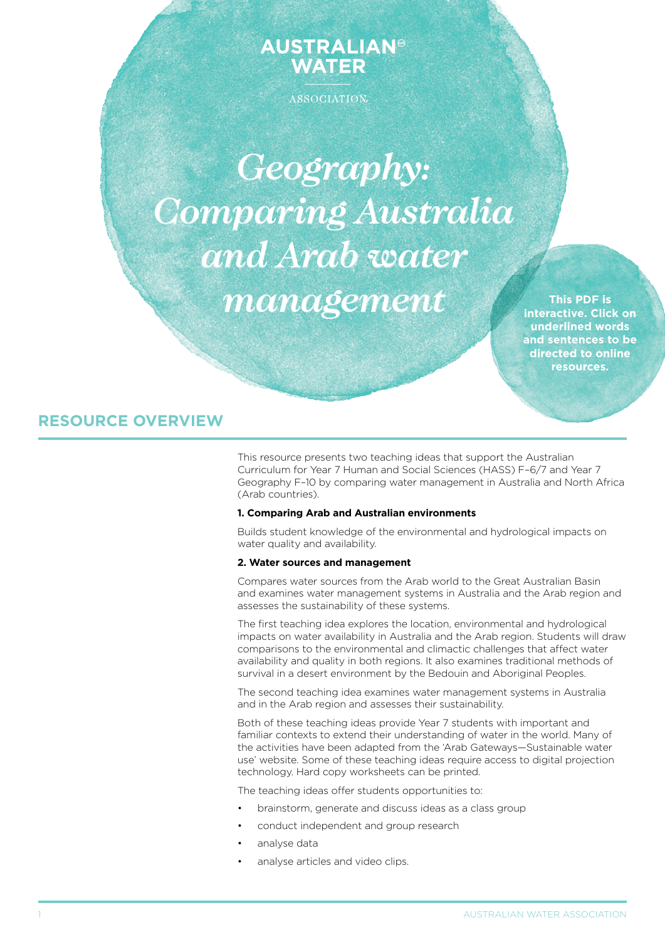# **AUSTRALIAN® WATER**

ASSOCIATION

*Geography: Comparing Australia and Arab water management*

**This PDF is interactive. Click on underlined words and sentences to be directed to online resources.**

# **RESOURCE OVERVIEW**

This resource presents two teaching ideas that support the Australian Curriculum for Year 7 Human and Social Sciences (HASS) F–6/7 and Year 7 Geography F–10 by comparing water management in Australia and North Africa (Arab countries).

### **1. Comparing Arab and Australian environments**

Builds student knowledge of the environmental and hydrological impacts on water quality and availability.

# **2. Water sources and management**

Compares water sources from the Arab world to the Great Australian Basin and examines water management systems in Australia and the Arab region and assesses the sustainability of these systems.

The first teaching idea explores the location, environmental and hydrological impacts on water availability in Australia and the Arab region. Students will draw comparisons to the environmental and climactic challenges that affect water availability and quality in both regions. It also examines traditional methods of survival in a desert environment by the Bedouin and Aboriginal Peoples.

The second teaching idea examines water management systems in Australia and in the Arab region and assesses their sustainability.

Both of these teaching ideas provide Year 7 students with important and familiar contexts to extend their understanding of water in the world. Many of the activities have been adapted from the 'Arab Gateways—Sustainable water use' website. Some of these teaching ideas require access to digital projection technology. Hard copy worksheets can be printed.

The teaching ideas offer students opportunities to:

- brainstorm, generate and discuss ideas as a class group
- conduct independent and group research
- analyse data
- analyse articles and video clips.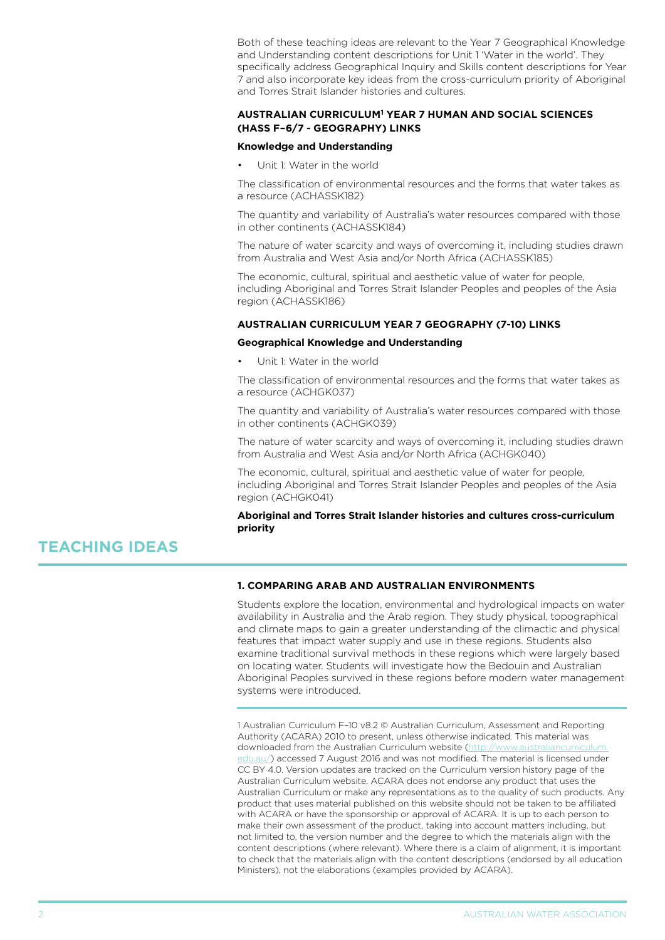Both of these teaching ideas are relevant to the Year 7 Geographical Knowledge and Understanding content descriptions for Unit 1 'Water in the world'. They specifically address Geographical Inquiry and Skills content descriptions for Year 7 and also incorporate key ideas from the cross-curriculum priority of Aboriginal and Torres Strait Islander histories and cultures.

### **AUStralian curriculum1 Year 7 Human and Social Sciences (HASS F–6/7 - Geography) links**

### **Knowledge and Understanding**

Unit 1: Water in the world

The classification of environmental resources and the forms that water takes as a resource (ACHASSK182)

The quantity and variability of Australia's water resources compared with those in other continents (ACHASSK184)

The nature of water scarcity and ways of overcoming it, including studies drawn from Australia and West Asia and/or North Africa (ACHASSK185)

The economic, cultural, spiritual and aesthetic value of water for people, including Aboriginal and Torres Strait Islander Peoples and peoples of the Asia region (ACHASSK186)

### **AUStralian curriculum Year 7 Geography (7-10) links**

#### **Geographical Knowledge and Understanding**

Unit 1: Water in the world

The classification of environmental resources and the forms that water takes as a resource (ACHGK037)

The quantity and variability of Australia's water resources compared with those in other continents (ACHGK039)

The nature of water scarcity and ways of overcoming it, including studies drawn from Australia and West Asia and/or North Africa (ACHGK040)

The economic, cultural, spiritual and aesthetic value of water for people, including Aboriginal and Torres Strait Islander Peoples and peoples of the Asia region (ACHGK041)

### **Aboriginal and Torres Strait Islander histories and cultures cross-curriculum priority**

# **TEACHING IDEAS**

# **1. Comparing Arab and Australian environments**

Students explore the location, environmental and hydrological impacts on water availability in Australia and the Arab region. They study physical, topographical and climate maps to gain a greater understanding of the climactic and physical features that impact water supply and use in these regions. Students also examine traditional survival methods in these regions which were largely based on locating water. Students will investigate how the Bedouin and Australian Aboriginal Peoples survived in these regions before modern water management systems were introduced.

1 Australian Curriculum F–10 v8.2 © Australian Curriculum, Assessment and Reporting Authority (ACARA) 2010 to present, unless otherwise indicated. This material was downloaded from the Australian Curriculum website ([http://www.australiancurriculum.](http://www.australiancurriculum.edu.au/) [edu.au/](http://www.australiancurriculum.edu.au/)) accessed 7 August 2016 and was not modified. The material is licensed under CC BY 4.0. Version updates are tracked on the Curriculum version history page of the Australian Curriculum website. ACARA does not endorse any product that uses the Australian Curriculum or make any representations as to the quality of such products. Any product that uses material published on this website should not be taken to be affiliated with ACARA or have the sponsorship or approval of ACARA. It is up to each person to make their own assessment of the product, taking into account matters including, but not limited to, the version number and the degree to which the materials align with the content descriptions (where relevant). Where there is a claim of alignment, it is important to check that the materials align with the content descriptions (endorsed by all education Ministers), not the elaborations (examples provided by ACARA).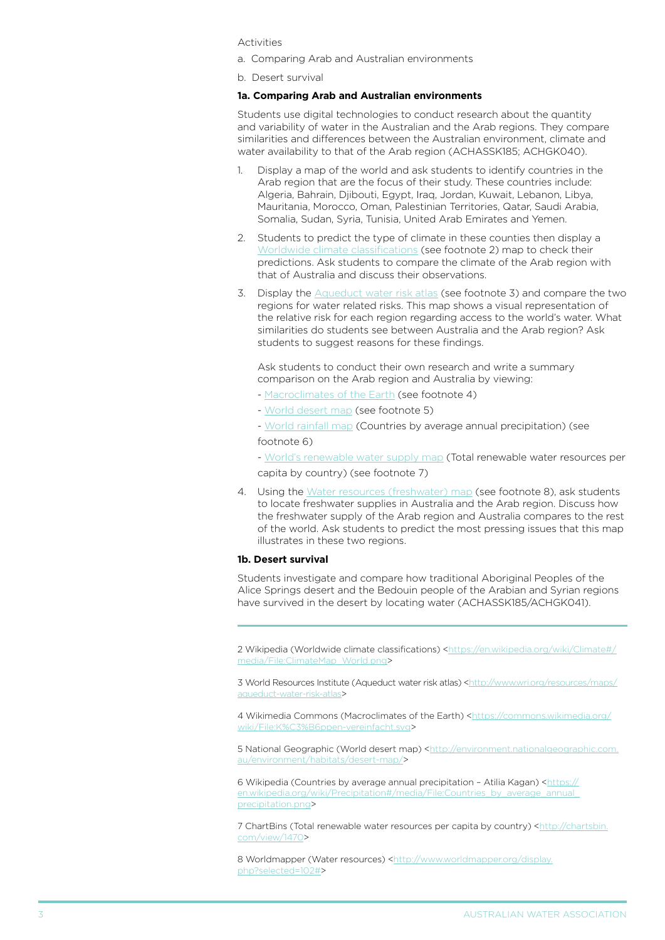Activities

- a. Comparing Arab and Australian environments
- b. Desert survival

#### **1a. Comparing Arab and Australian environments**

Students use digital technologies to conduct research about the quantity and variability of water in the Australian and the Arab regions. They compare similarities and differences between the Australian environment, climate and water availability to that of the Arab region (ACHASSK185; ACHGK040).

- 1. Display a map of the world and ask students to identify countries in the Arab region that are the focus of their study. These countries include: Algeria, Bahrain, Djibouti, Egypt, Iraq, Jordan, Kuwait, Lebanon, Libya, Mauritania, Morocco, Oman, Palestinian Territories, Qatar, Saudi Arabia, Somalia, Sudan, Syria, Tunisia, United Arab Emirates and Yemen.
- 2. Students to predict the type of climate in these counties then display a [Worldwide climate classifications](https://en.wikipedia.org/wiki/Climate#/media/File:ClimateMap_World.png) (see footnote 2) map to check their predictions. Ask students to compare the climate of the Arab region with that of Australia and discuss their observations.
- 3. Display the [Aqueduct water risk atlas](http://www.wri.org/resources/maps/aqueduct-water-risk-atlas) (see footnote 3) and compare the two regions for water related risks. This map shows a visual representation of the relative risk for each region regarding access to the world's water. What similarities do students see between Australia and the Arab region? Ask students to suggest reasons for these findings.

Ask students to conduct their own research and write a summary comparison on the Arab region and Australia by viewing:

- [Macroclimates of the Earth](https://commons.wikimedia.org/wiki/File:K%C3%B6ppen-vereinfacht.svg) (see footnote 4)
- [World desert map](http://environment.nationalgeographic.com.au/environment/habitats/desert-map/) (see footnote 5)
- [World rainfall map](https://en.wikipedia.org/wiki/Precipitation#/media/File:Countries_by_average_annual_precipitation.png) (Countries by average annual precipitation) (see

# footnote 6)

- [World's renewable water supply map](http://chartsbin.com/view/1470) (Total renewable water resources per capita by country) (see footnote 7)

4. Using the [Water resources \(freshwater\) map](http://www.worldmapper.org/display.php?selected=102#) (see footnote 8), ask students to locate freshwater supplies in Australia and the Arab region. Discuss how the freshwater supply of the Arab region and Australia compares to the rest of the world. Ask students to predict the most pressing issues that this map illustrates in these two regions.

### **1b. Desert survival**

Students investigate and compare how traditional Aboriginal Peoples of the Alice Springs desert and the Bedouin people of the Arabian and Syrian regions have survived in the desert by locating water (ACHASSK185/ACHGK041).

2 Wikipedia (Worldwide climate classifications) <[https://en.wikipedia.org/wiki/Climate#/](https://en.wikipedia.org/wiki/Climate#/media/File:ClimateMap_World.png) [media/File:ClimateMap\\_World.png>](https://en.wikipedia.org/wiki/Climate#/media/File:ClimateMap_World.png)

3 World Resources Institute (Aqueduct water risk atlas) [<http://www.wri.org/resources/maps/](http://www.wri.org/resources/maps/aqueduct-water-risk-atlas) [aqueduct-water-risk-atlas>](http://www.wri.org/resources/maps/aqueduct-water-risk-atlas)

4 Wikimedia Commons (Macroclimates of the Earth) <[https://commons.wikimedia.org/](https://commons.wikimedia.org/wiki/File:K%C3%B6ppen-vereinfacht.svg) [wiki/File:K%C3%B6ppen-vereinfacht.svg>](https://commons.wikimedia.org/wiki/File:K%C3%B6ppen-vereinfacht.svg)

5 National Geographic (World desert map) <[http://environment.nationalgeographic.com.](http://environment.nationalgeographic.com.au/environment/habitats/desert-map/) [au/environment/habitats/desert-map/](http://environment.nationalgeographic.com.au/environment/habitats/desert-map/)>

6 Wikipedia (Countries by average annual precipitation - Atilia Kagan) <[https://](https://en.wikipedia.org/wiki/Precipitation#/media/File:Countries_by_average_annual_precipitation.png) [en.wikipedia.org/wiki/Precipitation#/media/File:Countries\\_by\\_average\\_annual\\_](https://en.wikipedia.org/wiki/Precipitation#/media/File:Countries_by_average_annual_precipitation.png) [precipitation.png](https://en.wikipedia.org/wiki/Precipitation#/media/File:Countries_by_average_annual_precipitation.png)>

7 ChartBins (Total renewable water resources per capita by country) [<http://chartsbin.](http://chartsbin.com/view/1470) [com/view/1470>](http://chartsbin.com/view/1470)

8 Worldmapper (Water resources) [<http://www.worldmapper.org/display.](http://www.worldmapper.org/display.php?selected=102#) [php?selected=102#](http://www.worldmapper.org/display.php?selected=102#)>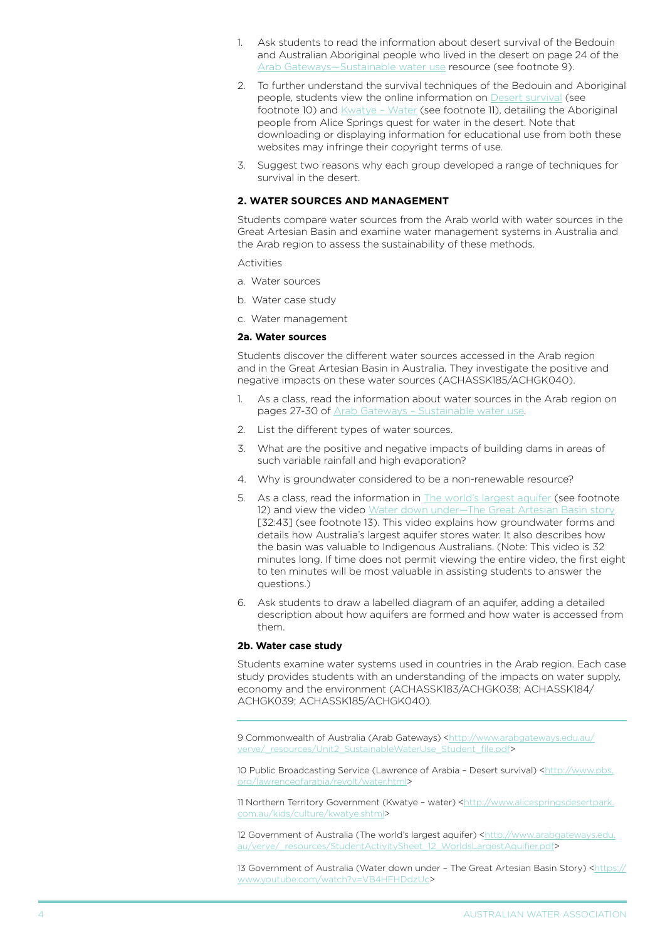- 1. Ask students to read the information about desert survival of the Bedouin and Australian Aboriginal people who lived in the desert on page 24 of the Arab Gateways-Sustainable water use resource (see footnote 9).
- 2. To further understand the survival techniques of the Bedouin and Aboriginal people, students view the online information on [Desert survival](http://www.pbs.org/lawrenceofarabia/revolt/water.html) (see footnote 10) and *Kwatye - Water* (see footnote 11), detailing the Aboriginal people from Alice Springs quest for water in the desert. Note that downloading or displaying information for educational use from both these websites may infringe their copyright terms of use.
- 3. Suggest two reasons why each group developed a range of techniques for survival in the desert.

## **2. water sources and management**

Students compare water sources from the Arab world with water sources in the Great Artesian Basin and examine water management systems in Australia and the Arab region to assess the sustainability of these methods.

Activities

- a. Water sources
- b. Water case study
- c. Water management

### **2a. Water sources**

Students discover the different water sources accessed in the Arab region and in the Great Artesian Basin in Australia. They investigate the positive and negative impacts on these water sources (ACHASSK185/ACHGK040).

- 1. As a class, read the information about water sources in the Arab region on pages 27-30 of [Arab Gateways – Sustainable water use](http://www.arabgateways.edu.au/verve/_resources/Unit2_SustainableWaterUse_Student_file.pdf).
- 2. List the different types of water sources.
- 3. What are the positive and negative impacts of building dams in areas of such variable rainfall and high evaporation?
- 4. Why is groundwater considered to be a non-renewable resource?
- 5. As a class, read the information in [The world's largest aquifer](http://www.arabgateways.edu.au/verve/_resources/StudentActivitySheet_12_WorldsLargestAquifier.pdf) (see footnote 12) and view the video Water down under-The Great Artesian Basin story [32:43] (see footnote 13). This video explains how groundwater forms and details how Australia's largest aquifer stores water. It also describes how the basin was valuable to Indigenous Australians. (Note: This video is 32 minutes long. If time does not permit viewing the entire video, the first eight to ten minutes will be most valuable in assisting students to answer the questions.)
- 6. Ask students to draw a labelled diagram of an aquifer, adding a detailed description about how aquifers are formed and how water is accessed from them.

#### **2b. Water case study**

Students examine water systems used in countries in the Arab region. Each case study provides students with an understanding of the impacts on water supply, economy and the environment (ACHASSK183/ACHGK038; ACHASSK184/ ACHGK039; ACHASSK185/ACHGK040).

9 Commonwealth of Australia (Arab Gateways) [<http://www.arabgateways.edu.au/](http://www.arabgateways.edu.au/verve/_resources/Unit2_SustainableWaterUse_Student_file.pdf) [verve/\\_resources/Unit2\\_SustainableWaterUse\\_Student\\_file.pdf>](http://www.arabgateways.edu.au/verve/_resources/Unit2_SustainableWaterUse_Student_file.pdf)

10 Public Broadcasting Service (Lawrence of Arabia - Desert survival) <[http://www.pbs.](http://www.pbs.org/lawrenceofarabia/revolt/water.html) [org/lawrenceofarabia/revolt/water.html](http://www.pbs.org/lawrenceofarabia/revolt/water.html)>

11 Northern Territory Government (Kwatye - water) [<http://www.alicespringsdesertpark.](http://www.alicespringsdesertpark.com.au/kids/culture/kwatye.shtml) [com.au/kids/culture/kwatye.shtml](http://www.alicespringsdesertpark.com.au/kids/culture/kwatye.shtml)>

12 Government of Australia (The world's largest aquifer) [<http://www.arabgateways.edu.](http://www.arabgateways.edu.au/verve/_resources/StudentActivitySheet_12_WorldsLargestAquifier.pdf) [au/verve/\\_resources/StudentActivitySheet\\_12\\_WorldsLargestAquifier.pdf](http://www.arabgateways.edu.au/verve/_resources/StudentActivitySheet_12_WorldsLargestAquifier.pdf)>

13 Government of Australia (Water down under – The Great Artesian Basin Story) [<https://](https://www.youtube.com/watch?v=VB4HFHDdzUc) [www.youtube.com/watch?v=VB4HFHDdzUc>](https://www.youtube.com/watch?v=VB4HFHDdzUc)